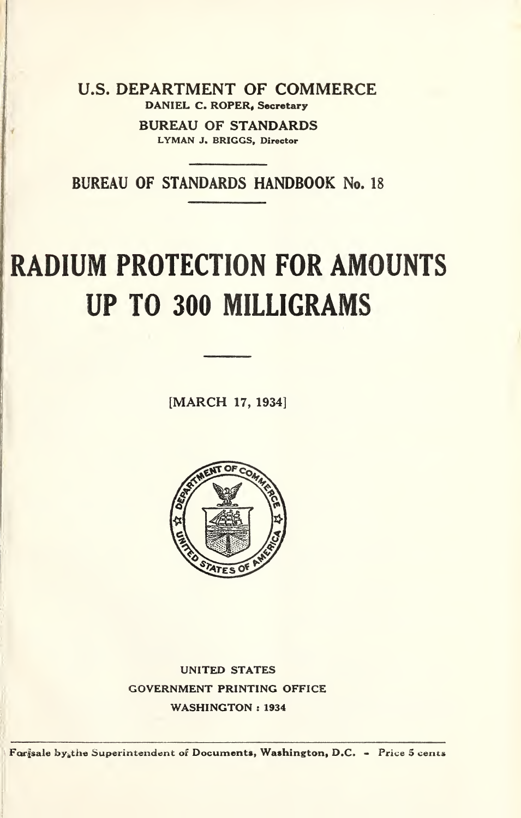U.S. DEPARTMENT OF COMMERCE DANIEL C. ROPER, Secretary

> BUREAU OF STANDARDS LYMAN J, BRIGGS, Director

BUREAU OF STANDARDS HANDBOOK No. 18

# RADIUM PROTECTION FOR AMOUNTS UP TO 300 MILLIGRAMS

[MARCH 17, 1934]



UNITED STATES GOVERNMENT PRINTING OFFICE WASHINGTON : 1934

For sale by the Superintendent of Documents, Washington, D.C. - Price 5 cents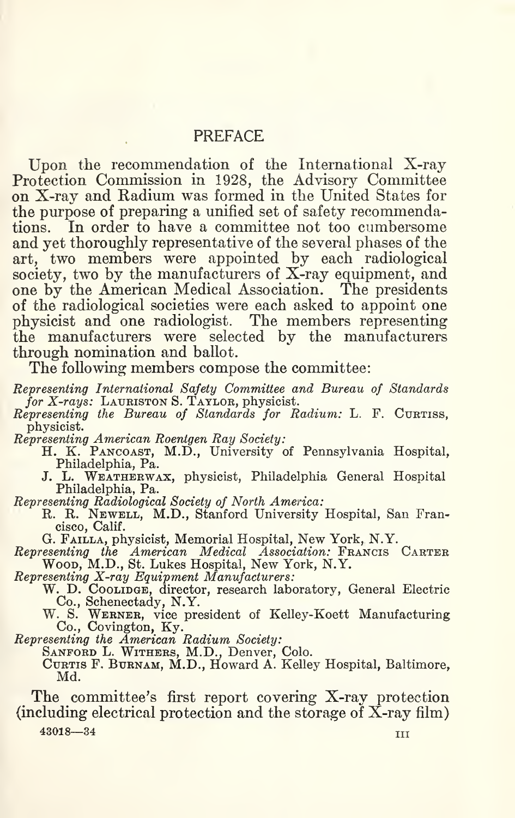#### **PREFACE**

Upon the recommendation of the International X-ray Protection Commission in 1928, the Advisory Committee on X-ray and Radium was formed in the United States for the purpose of preparing a unified set of safety recommendations. In order to have a committee not too cumbersome and yet thoroughly representative of the several phases of the art, two members were appointed by each radiological society, two by the manufacturers of X-ray equipment, and one by the American Medical Association. The presidents of the radiological societies were each asked to appoint one physicist and one radiologist. The members representing the manufacturers were selected by the manufacturers through nomination and ballot.

The following members compose the committee:

- Representing International Safety Committee and Bureau of Standards for X-rays: LAURISTON S. TAYLOR, physicist.
- $$ physicist.
	-
- Representing American Roentgen Ray Society:<br>
H. K. PANCOAST, M.D., University of Pennsylvania Hospital, Philadelphia, Pa.
	- J. L. WEATHERWAX, physicist, Philadelphia General Hospital Philadelphia, Pa.
- 
- Representing Radiological Society of North America:<br>R. R. Newell, M.D., Stanford University Hospital, San Francisco, Calif.
	- G. Failla, physicist. Memorial Hospital, New York, N.Y.
- Representing the American Medical Association: Francis Carter Wood, M.D., St. Lukes Hospital, New York, N.Y.

Representing X-ray Equipment Manufacturers:

W. D. Coolinge, director, research laboratory, General Electric Co., Schenectady, N.Y.

W. S. WERNER, vice president of Kelley-Koett Manufacturing Co., Covington, Ky.

Representing the American Radium Society:

SANFORD L. WITHERS, M.D., Denver, Colo.

Curtis F, Burnam, M.D., Howard A. Kelley Hospital, Baltimore, Md.

The committee's first report covering X-ray protection (including electrical protection and the storage of X-ray film)

43018—34 III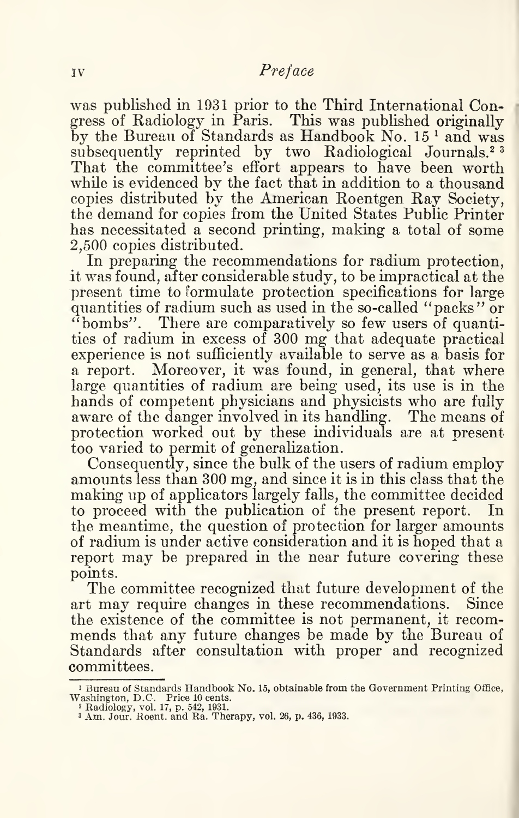was published in 1931 prior to the Third International Congress of Radiology in Paris. This was published originally by the Bureau of Standards as Handbook No. 15<sup>1</sup> and was subsequently reprinted by two Radiological Journals.<sup>23</sup> That the committee's effort appears to have been worth while is evidenced by the fact that in addition to a thousand copies distributed by the American Roentgen Ray Society, the demand for copies from the United States Public Printer has necessitated a second printing, making a total of some 2,500 copies distributed.

In preparing the recommendations for radium protection, it was found, after considerable study, to be impractical at the present time to formulate protection specifications for large quantities of radium such as used in the so-called "packs" or "bombs". There are comparatively so few users of quantities of radium in excess of 300 mg that adequate practical experience is not sufficiently available to serve as a basis for a report. Moreover, it was found, in general, that where large quantities of radium, are being used, its use is in the hands of competent physicians and physicists who are fully aware of the danger involved in its handling. The means of protection worked out by these individuals are at present too varied to permit of generalization.

Consequently, since the bulk of the users of radium employ amounts less than 300 mg, and since it is in this class that the making up of applicators largely falls, the committee decided to proceed with the publication of the present report. In the meantime, the question of protection for larger amounts of radium is under active consideration and it is hoped that a report may be prepared in the near future covering these points.

The committee recognized that future development of the art may require changes in these recommendations. Since the existence of the committee is not permanent, it recommends that any future changes be made by the Bureau of Standards after consultation with proper and recognized committees.

<sup>&</sup>lt;sup>1</sup> Bureau of Standards Handbook No. 15, obtainable from the Government Printing Office, Washington, D.C. Price 10 cents.<br>
<sup>2</sup> Radiology, vol. 17, p. 542, 1931.<br>
<sup>3</sup> Am. Jour. Roent. and Ra. Therapy, vol. 26, p. 436, 1933.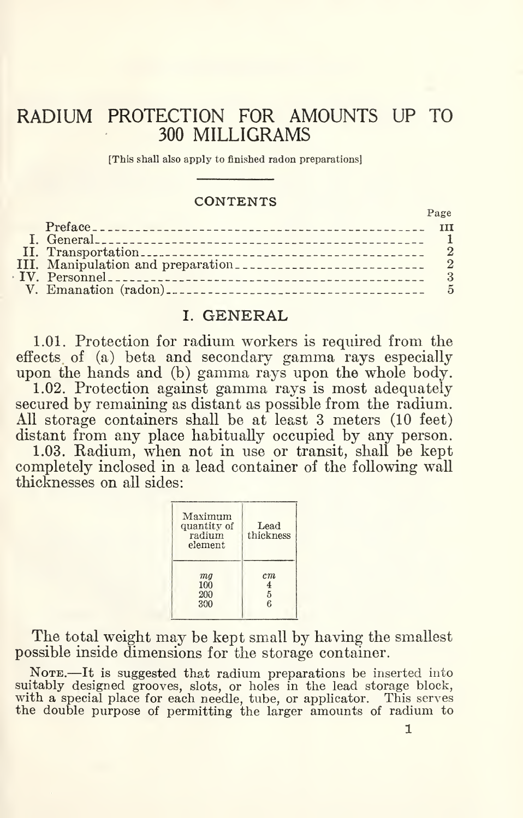# RADIUM PROTECTION FOR AMOUNTS UP TO 300 MILLIGRAMS

#### **CONTENTS**

| [This shall also apply to finished radon preparations] |                  |
|--------------------------------------------------------|------------------|
|                                                        |                  |
| <b>CONTENTS</b>                                        |                  |
|                                                        | Page             |
|                                                        | <b>TII</b>       |
|                                                        |                  |
|                                                        | $\boldsymbol{2}$ |
|                                                        | $\overline{2}$   |
|                                                        | 3                |
|                                                        | 5                |
| $\cap$                                                 |                  |

#### I. GENERAL

1.01. Protection for radium workers is required from the effects of (a) beta and secondary gamma rays especially upon the hands and (b) gamma rays upon the whole body.

1.02. Protection against gamma rays is most adequately secured by remaining as distant as possible from the radium. All storage containers shall be at least 3 meters (10 feet) distant from any place habitually occupied by any person.

1.03. Radium, when not in use or transit, shall be kept completely inclosed in a lead container of the following wall thicknesses on all sides:

| Maximum<br>quantity of<br>radium<br>element | Lead<br>thickness |
|---------------------------------------------|-------------------|
| mq                                          | cm                |
| 100                                         | 4                 |
| 200                                         | 5                 |
| 300                                         | ŕ.                |

The total weight may be kept small by having the smallest possible inside dimensions for the storage container.

NOTE.-It is suggested that radium preparations be inserted into suitably designed grooves, slots, or holes in the lead storage block, with a special place for each needle, tube, or applicator. This serves the double purpose of permitting the larger amounts of radium to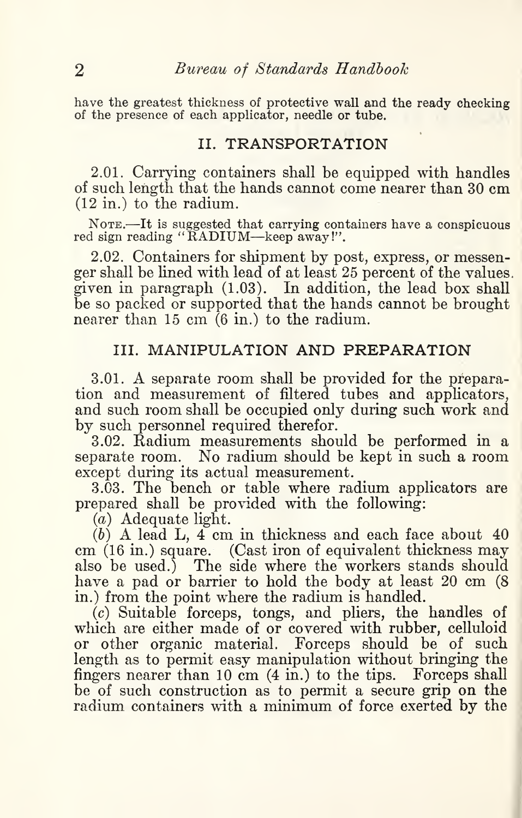have the greatest thickness of protective wall and the ready checking of the presence of each applicator, needle or tube.

### II. TRANSPORTATION

2.01. Carrying containers shall be equipped with handles of such length that the hands cannot come nearer than 30 cm (12 in.) to the radium.

NOTE.—It is suggested that carrying containers have a conspicuous red sign reading "RADIUM—keep away!".

2.02. Containers for shipment by post, express, or messenger shall be lined with lead of at least 25 percent of the values, given in paragraph (1.03). In addition, the lead box shall be so packed or supported that the hands cannot be brought nearer than 15 cm (6 in.) to the radium.

## III. MANIPULATION AND PREPARATION

3.01. A separate room shall be provided for the preparation and measurement of filtered tubes and applicators, and such room shall be occupied only during such work and by such personnel required therefor.

3.02. Radium measurements should be performed in a separate room. No radium should be kept in such a room except during its actual measurement.

3.03. The bench or table where radium applicators are prepared shall be provided with the following:

 $(a)$  Adequate light.

 $(b)$  A lead L,  $4 \text{ cm}$  in thickness and each face about  $40$ cm (16 in.) square. (Cast iron of equivalent thickness may also be used.) The side where the workers stands should have a pad or barrier to hold the body at least 20 cm (8) in.) from the point where the radium is handled.

(c) Suitable forceps, tongs, and pliers, the handles of which are either made of or covered with rubber, celluloid or other organic material. Forceps should be of such length as to permit easy manipulation without bringing the fingers nearer than 10 cm (4 in.) to the tips. Forceps shall be of such construction as to permit a secure grip on the radium containers with a minimum of force exerted by the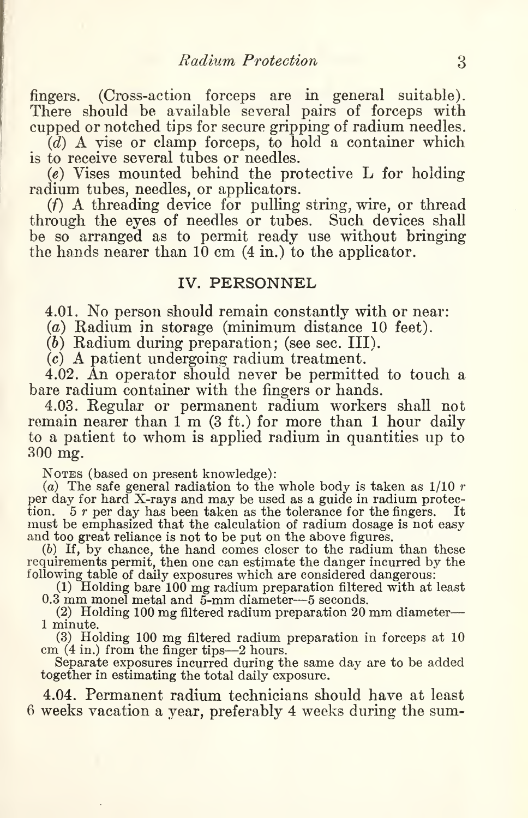fingers. (Cross-action forceps are in general suitable). There should be available several pairs of forceps with cupped or notched tips for secure gripping of radium needles.

 $\overline{d}$ ) A vise or clamp forceps, to hold a container which is to receive several tubes or needles.

 $(e)$  Vises mounted behind the protective L for holding radium tubes, needles, or applicators.

 $(f)$  A threading device for pulling string, wire, or thread through the eyes of needles or tubes. Such devices shall be so arranged as to permit ready use without bringing the hands nearer than  $10 \text{ cm}$  (4 in.) to the applicator.

#### IV. PERSONNEL

4.01. No person should remain constantly with or near:

{a) Radium in storage (minimum distance 10 feet).

(6) Radium during preparation; (see sec. III).

(c) A patient undergoing radium treatment.

4.02. An operator should never be permitted to touch a bare radium container with the fingers or hands.

4.03. Regular or permanent radium workers shall not remain nearer than 1 m (3 ft.) for more than 1 hour daily to a patient to whom is applied radium in quantities up to 300 mg.

Notes (based on present knowledge):

(a) The safe general radiation to the whole body is taken as  $1/10 r$ per day for hard X-rays and may be used as a guide in radium protection.  $5r$  per day has been taken as the tolerance for the fingers. It tion.  $5 r$  per day has been taken as the tolerance for the fingers. must be emphasized that the calculation of radium dosage is not easy and too great reliance is not to be put on the above figures.

(b) If, by chance, the hand comes closer to the radium than these requirements permit, then one can estimate the danger incurred by the following table of daily exposures which are considered dangerous:

(1) Holding bare 100 mg radium preparation filtered with at least 0.3 mm monel metal and 5-mm diameter—5 seconds.

(2) Holding 100 mg filtered radium preparation 20 mm diameter— <sup>1</sup> minute.

(3) Holding 100 mg filtered radium preparation in forceps at 10 cm (4 in.) from the finger tips—2 hours.

Separate exposures incurred during the same day are to be added together in estimating the total daily exposure.

4.04. Permanent radium technicians should have at least 6 weeks vacation a year, preferably 4 weeks during the sum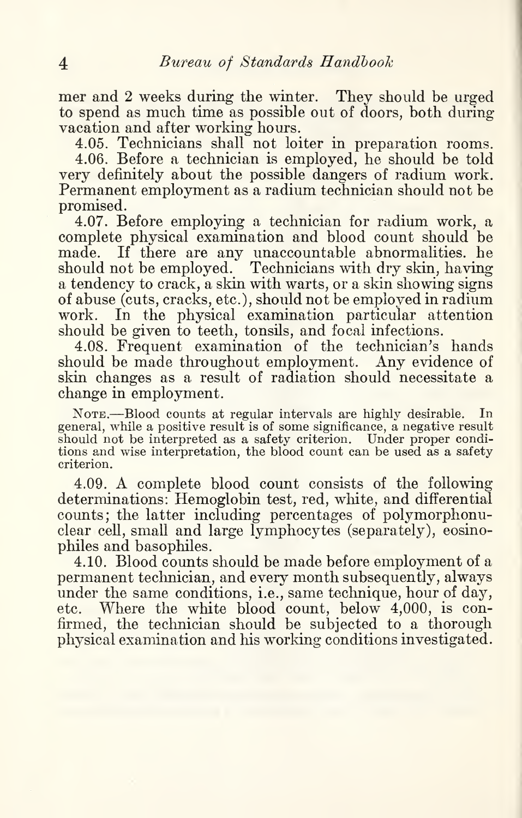mer and 2 weeks during the winter. They should be urged to spend as much time as possible out of doors, both during vacation and after working hours.

4.05. Technicians shall not loiter in preparation rooms. 4.06. Before a technician is employed, he should be told very definitely about the possible dangers of radium work. Permanent employment as a radium technician should not be promised.

4.07. Before employing a technician for radium work, a complete physical examination and blood count should be made. If there are any unaccountable abnormalities, he should not be employed. Technicians with dry skin, having a tendency to crack, a skin with warts, or a skin showing signs of abuse (cuts, cracks, etc.), should not be employed in radium work. In the physical examination particular attention should be given to teeth, tonsils, and focal infections.

4.08. Frequent examination of the technician's hands should be made throughout employment. Any evidence of skin changes as a result of radiation should necessitate a change in employment.

NOTE.-Blood counts at regular intervals are highly desirable. In general, while a positive result is of some significance, a negative result should not be interpreted as a safety criterion. Under proper conditions and wise interpretation, the blood count can be used as a safety criterion.

4.09. A complete blood count consists of the following determinations: Hemoglobin test, red, white, and differential counts; the latter including percentages of polymorphonuclear cell, small and large lymphocytes (separately), eosinophiles and basophiles.

4.10. Blood counts should be made before employment of a permanent technician, and every month subsequently, always under the same conditions, i.e., same technique, hour of day, etc. Where the white blood count, below 4,000, is confirmed, the technician should be subjected to a thorough physical examination and his working conditions investigated.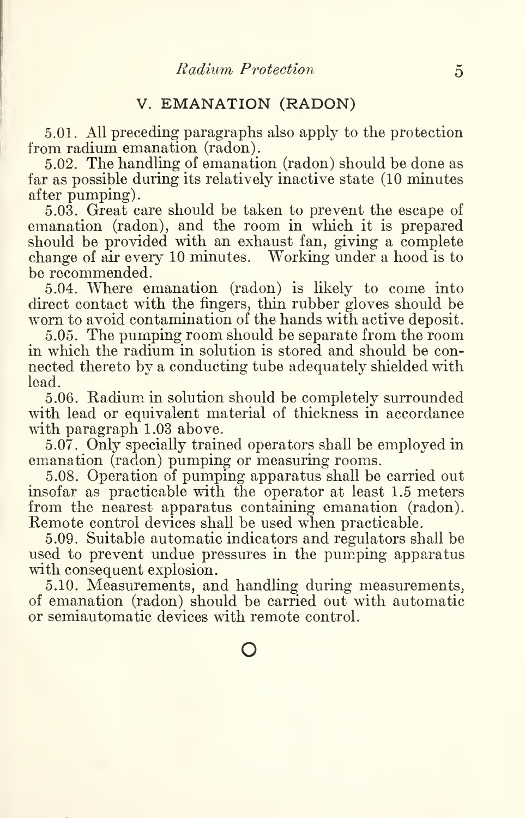# V. EMANATION (RADON)

5.01. All preceding paragraphs also apply to the protection from radium emanation (radon).

5.02. The handling of emanation (radon) should be done as far as possible during its relatively inactive state (10 minutes after pumping).

5.03. Great care should be taken to prevent the escape of emanation (radon), and the room in which it is prepared should be provided with an exhaust fan, giving a complete change of air every 10 minutes. Working under a hood is to be recommended.

5.04. Where emanation (radon) is likely to come into direct contact with the fingers, thin rubber gloves should be worn to avoid contamination of the hands with active deposit.

5.05. The pumping room should be separate from the room in which the radium in solution is stored and should be connected thereto by a conducting tube adequately shielded with lead.

5.06. Radium in solution should be completely surrounded with lead or equivalent material of thickness in accordance with paragraph 1.03 above.

5.07. Only specially trained operators shall be employed in emanation (radon) pumping or measuring rooms.

5.08. Operation of pumping apparatus shall be carried out insofar as practicable with the operator at least 1.5 meters from the nearest apparatus containing emanation (radon). Remote control devices shall be used when practicable.

5.09. Suitable automatic indicators and regulators shall be used to prevent undue pressures in the pumping apparatus with consequent explosion.

5.10. Measurements, and handling during measurements, of emanation (radon) should be carried out with automatic or semiautomatic devices with remote control.

o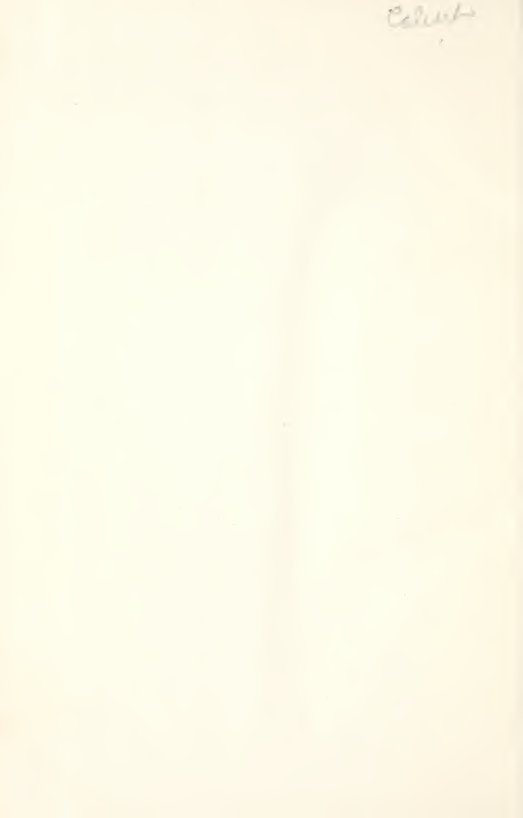$\mathcal{C}$